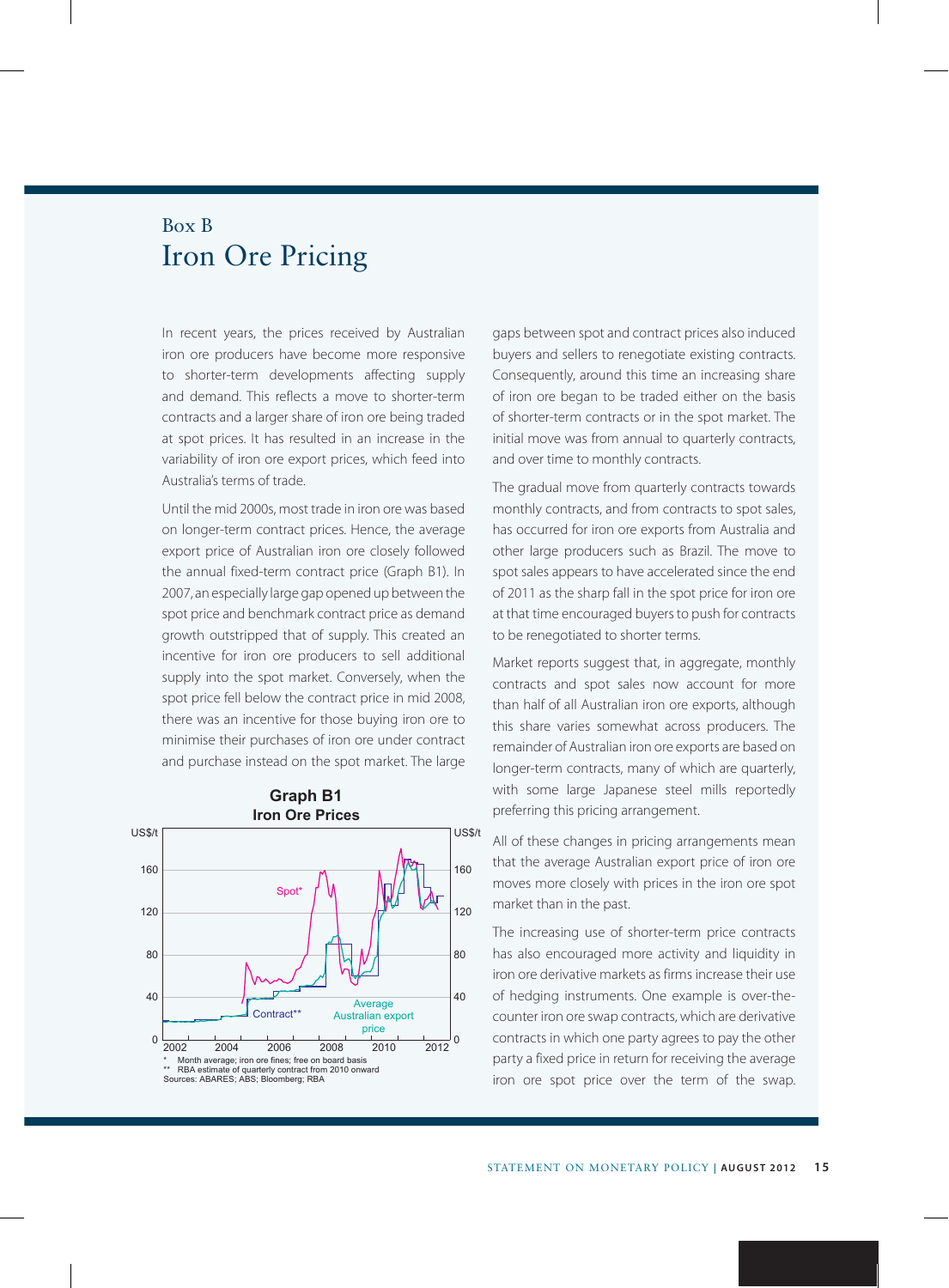## Box B Iron Ore Pricing

In recent years, the prices received by Australian iron ore producers have become more responsive to shorter-term developments affecting supply and demand. This reflects a move to shorter-term contracts and a larger share of iron ore being traded at spot prices. It has resulted in an increase in the variability of iron ore export prices, which feed into Australia's terms of trade.

Until the mid 2000s, most trade in iron ore was based on longer-term contract prices. Hence, the average export price of Australian iron ore closely followed the annual fixed-term contract price (Graph B1). In 2007, an especially large gap opened up between the spot price and benchmark contract price as demand growth outstripped that of supply. This created an incentive for iron ore producers to sell additional supply into the spot market. Conversely, when the spot price fell below the contract price in mid 2008, there was an incentive for those buying iron ore to minimise their purchases of iron ore under contract and purchase instead on the spot market. The large



gaps between spot and contract prices also induced buyers and sellers to renegotiate existing contracts. Consequently, around this time an increasing share of iron ore began to be traded either on the basis of shorter-term contracts or in the spot market. The initial move was from annual to quarterly contracts, and over time to monthly contracts.

The gradual move from quarterly contracts towards monthly contracts, and from contracts to spot sales, has occurred for iron ore exports from Australia and other large producers such as Brazil. The move to spot sales appears to have accelerated since the end of 2011 as the sharp fall in the spot price for iron ore at that time encouraged buyers to push for contracts to be renegotiated to shorter terms.

Market reports suggest that, in aggregate, monthly contracts and spot sales now account for more than half of all Australian iron ore exports, although this share varies somewhat across producers. The remainder of Australian iron ore exports are based on longer-term contracts, many of which are quarterly, with some large Japanese steel mills reportedly preferring this pricing arrangement.

All of these changes in pricing arrangements mean that the average Australian export price of iron ore moves more closely with prices in the iron ore spot market than in the past.

The increasing use of shorter-term price contracts has also encouraged more activity and liquidity in iron ore derivative markets as firms increase their use of hedging instruments. One example is over-thecounter iron ore swap contracts, which are derivative contracts in which one party agrees to pay the other party a fixed price in return for receiving the average iron ore spot price over the term of the swap.